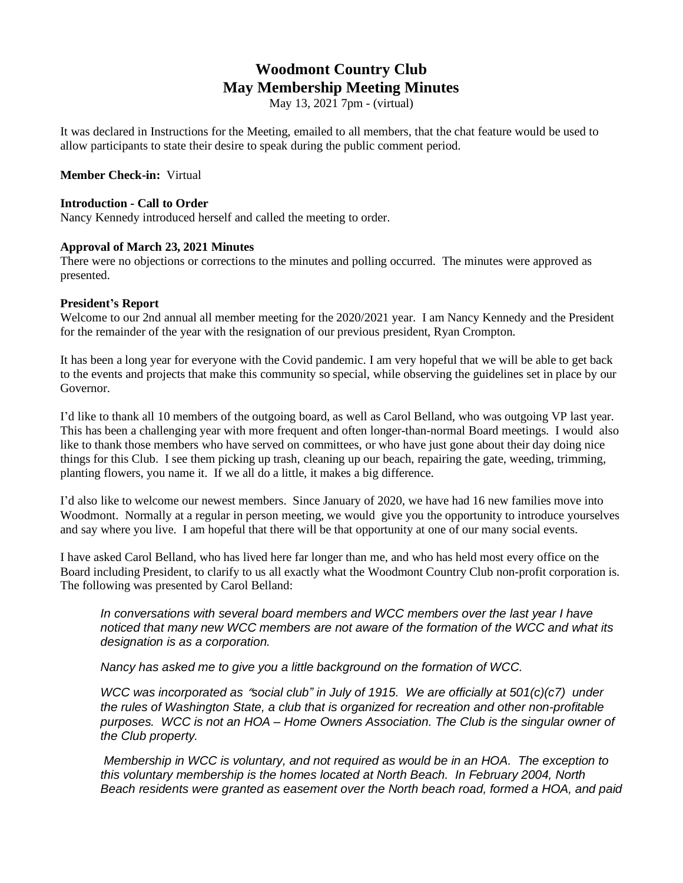# **Woodmont Country Club May Membership Meeting Minutes**

May 13, 2021 7pm - (virtual)

It was declared in Instructions for the Meeting, emailed to all members, that the chat feature would be used to allow participants to state their desire to speak during the public comment period.

## **Member Check-in:** Virtual

#### **Introduction - Call to Order**

Nancy Kennedy introduced herself and called the meeting to order.

## **Approval of March 23, 2021 Minutes**

There were no objections or corrections to the minutes and polling occurred. The minutes were approved as presented.

## **President's Report**

Welcome to our 2nd annual all member meeting for the 2020/2021 year. I am Nancy Kennedy and the President for the remainder of the year with the resignation of our previous president, Ryan Crompton.

It has been a long year for everyone with the Covid pandemic. I am very hopeful that we will be able to get back to the events and projects that make this community so special, while observing the guidelines set in place by our Governor.

I'd like to thank all 10 members of the outgoing board, as well as Carol Belland, who was outgoing VP last year. This has been a challenging year with more frequent and often longer-than-normal Board meetings. I would also like to thank those members who have served on committees, or who have just gone about their day doing nice things for this Club. I see them picking up trash, cleaning up our beach, repairing the gate, weeding, trimming, planting flowers, you name it. If we all do a little, it makes a big difference.

I'd also like to welcome our newest members. Since January of 2020, we have had 16 new families move into Woodmont. Normally at a regular in person meeting, we would give you the opportunity to introduce yourselves and say where you live. I am hopeful that there will be that opportunity at one of our many social events.

I have asked Carol Belland, who has lived here far longer than me, and who has held most every office on the Board including President, to clarify to us all exactly what the Woodmont Country Club non-profit corporation is. The following was presented by Carol Belland:

*In conversations with several board members and WCC members over the last year I have noticed that many new WCC members are not aware of the formation of the WCC and what its designation is as a corporation.*

*Nancy has asked me to give you a little background on the formation of WCC.*

*WCC was incorporated as* "*social club" in July of 1915. We are officially at 501(c)(c7) under the rules of Washington State, a club that is organized for recreation and other non-profitable purposes. WCC is not an HOA – Home Owners Association. The Club is the singular owner of the Club property.*

*Membership in WCC is voluntary, and not required as would be in an HOA. The exception to this voluntary membership is the homes located at North Beach. In February 2004, North Beach residents were granted as easement over the North beach road, formed a HOA, and paid*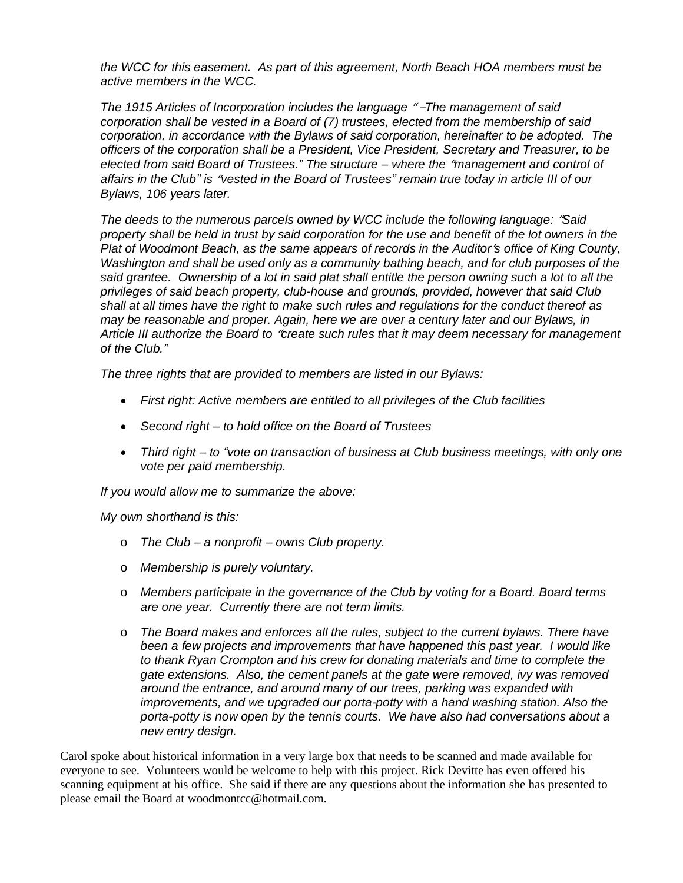*the WCC for this easement. As part of this agreement, North Beach HOA members must be active members in the WCC.*

*The 1915 Articles of Incorporation includes the language* " –*The management of said corporation shall be vested in a Board of (7) trustees, elected from the membership of said corporation, in accordance with the Bylaws of said corporation, hereinafter to be adopted. The officers of the corporation shall be a President, Vice President, Secretary and Treasurer, to be elected from said Board of Trustees." The structure – where the* "*management and control of* affairs in the Club" is "vested in the Board of Trustees" remain true today in article III of our *Bylaws, 106 years later.*

*The deeds to the numerous parcels owned by WCC include the following language:* "*Said* property shall be held in trust by said corporation for the use and benefit of the lot owners in the *Plat of Woodmont Beach, as the same appears of records in the Auditor*'*s office of King County, Washington and shall be used only as a community bathing beach, and for club purposes of the* said grantee. Ownership of a lot in said plat shall entitle the person owning such a lot to all the *privileges of said beach property, club-house and grounds, provided, however that said Club shall at all times have the right to make such rules and regulations for the conduct thereof as may be reasonable and proper. Again, here we are over a century later and our Bylaws, in Article III authorize the Board to* "*create such rules that it may deem necessary for management of the Club."*

*The three rights that are provided to members are listed in our Bylaws:*

- *First right: Active members are entitled to all privileges of the Club facilities*
- *Second right – to hold office on the Board of Trustees*
- *Third right – to "vote on transaction of business at Club business meetings, with only one vote per paid membership.*

*If you would allow me to summarize the above:*

*My own shorthand is this:*

- o *The Club – a nonprofit – owns Club property.*
- o *Membership is purely voluntary.*
- o *Members participate in the governance of the Club by voting for a Board. Board terms are one year. Currently there are not term limits.*
- o *The Board makes and enforces all the rules, subject to the current bylaws. There have been a few projects and improvements that have happened this past year. I would like to thank Ryan Crompton and his crew for donating materials and time to complete the gate extensions. Also, the cement panels at the gate were removed, ivy was removed around the entrance, and around many of our trees, parking was expanded with improvements, and we upgraded our porta-potty with a hand washing station. Also the porta-potty is now open by the tennis courts. We have also had conversations about a new entry design.*

Carol spoke about historical information in a very large box that needs to be scanned and made available for everyone to see. Volunteers would be welcome to help with this project. Rick Devitte has even offered his scanning equipment at his office. She said if there are any questions about the information she has presented to please email the Board at woodmontcc@hotmail.com.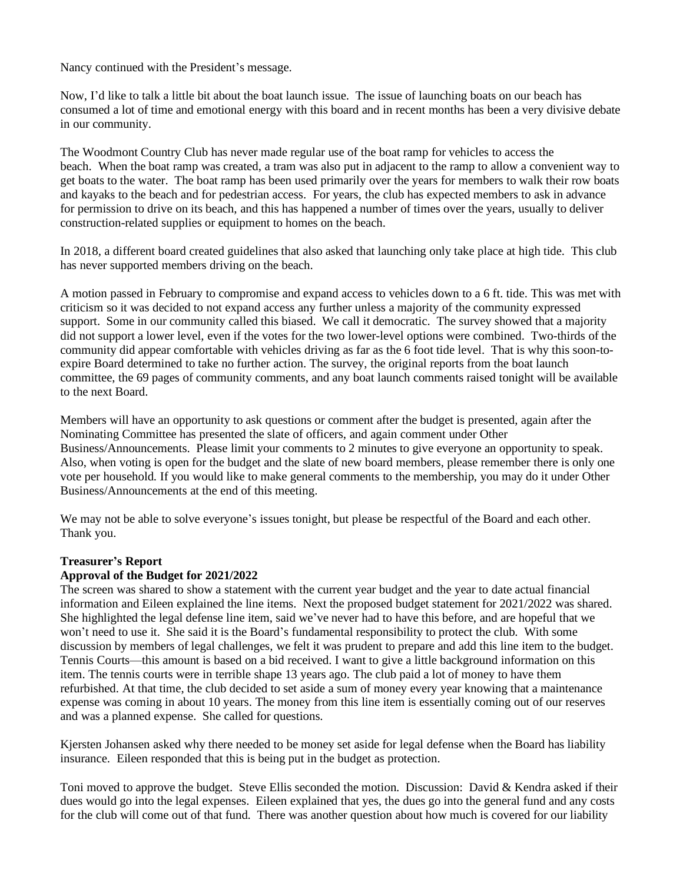Nancy continued with the President's message.

Now, I'd like to talk a little bit about the boat launch issue. The issue of launching boats on our beach has consumed a lot of time and emotional energy with this board and in recent months has been a very divisive debate in our community.

The Woodmont Country Club has never made regular use of the boat ramp for vehicles to access the beach. When the boat ramp was created, a tram was also put in adjacent to the ramp to allow a convenient way to get boats to the water. The boat ramp has been used primarily over the years for members to walk their row boats and kayaks to the beach and for pedestrian access. For years, the club has expected members to ask in advance for permission to drive on its beach, and this has happened a number of times over the years, usually to deliver construction-related supplies or equipment to homes on the beach.

In 2018, a different board created guidelines that also asked that launching only take place at high tide. This club has never supported members driving on the beach.

A motion passed in February to compromise and expand access to vehicles down to a 6 ft. tide. This was met with criticism so it was decided to not expand access any further unless a majority of the community expressed support. Some in our community called this biased. We call it democratic. The survey showed that a majority did not support a lower level, even if the votes for the two lower-level options were combined. Two-thirds of the community did appear comfortable with vehicles driving as far as the 6 foot tide level. That is why this soon-toexpire Board determined to take no further action. The survey, the original reports from the boat launch committee, the 69 pages of community comments, and any boat launch comments raised tonight will be available to the next Board.

Members will have an opportunity to ask questions or comment after the budget is presented, again after the Nominating Committee has presented the slate of officers, and again comment under Other Business/Announcements. Please limit your comments to 2 minutes to give everyone an opportunity to speak. Also, when voting is open for the budget and the slate of new board members, please remember there is only one vote per household. If you would like to make general comments to the membership, you may do it under Other Business/Announcements at the end of this meeting.

We may not be able to solve everyone's issues tonight, but please be respectful of the Board and each other. Thank you.

# **Treasurer's Report**

# **Approval of the Budget for 2021/2022**

The screen was shared to show a statement with the current year budget and the year to date actual financial information and Eileen explained the line items. Next the proposed budget statement for 2021/2022 was shared. She highlighted the legal defense line item, said we've never had to have this before, and are hopeful that we won't need to use it. She said it is the Board's fundamental responsibility to protect the club. With some discussion by members of legal challenges, we felt it was prudent to prepare and add this line item to the budget. Tennis Courts—this amount is based on a bid received. I want to give a little background information on this item. The tennis courts were in terrible shape 13 years ago. The club paid a lot of money to have them refurbished. At that time, the club decided to set aside a sum of money every year knowing that a maintenance expense was coming in about 10 years. The money from this line item is essentially coming out of our reserves and was a planned expense. She called for questions.

Kjersten Johansen asked why there needed to be money set aside for legal defense when the Board has liability insurance. Eileen responded that this is being put in the budget as protection.

Toni moved to approve the budget. Steve Ellis seconded the motion. Discussion: David & Kendra asked if their dues would go into the legal expenses. Eileen explained that yes, the dues go into the general fund and any costs for the club will come out of that fund. There was another question about how much is covered for our liability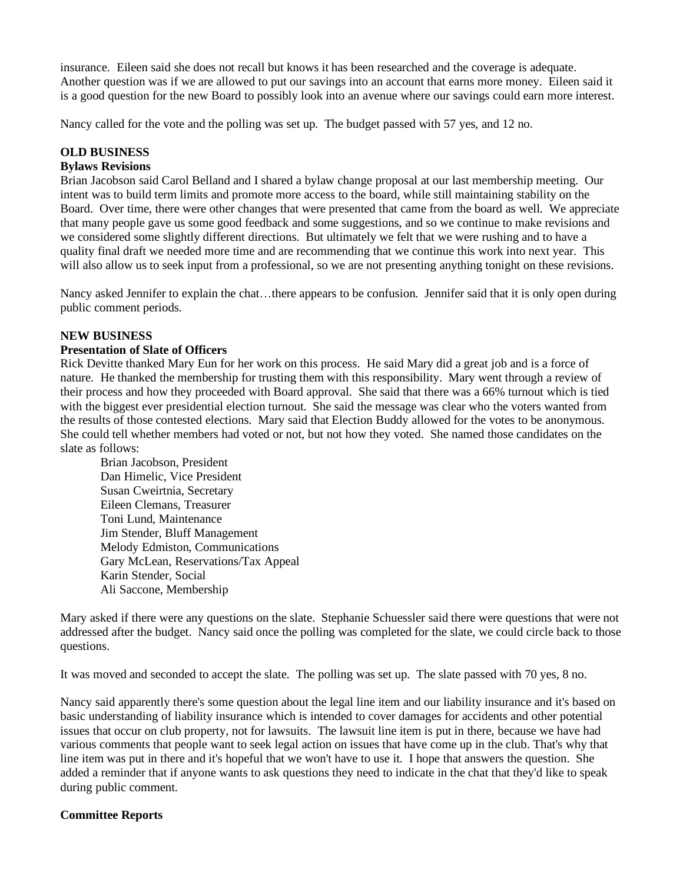insurance. Eileen said she does not recall but knows it has been researched and the coverage is adequate. Another question was if we are allowed to put our savings into an account that earns more money. Eileen said it is a good question for the new Board to possibly look into an avenue where our savings could earn more interest.

Nancy called for the vote and the polling was set up. The budget passed with 57 yes, and 12 no.

# **OLD BUSINESS**

## **Bylaws Revisions**

Brian Jacobson said Carol Belland and I shared a bylaw change proposal at our last membership meeting. Our intent was to build term limits and promote more access to the board, while still maintaining stability on the Board. Over time, there were other changes that were presented that came from the board as well. We appreciate that many people gave us some good feedback and some suggestions, and so we continue to make revisions and we considered some slightly different directions. But ultimately we felt that we were rushing and to have a quality final draft we needed more time and are recommending that we continue this work into next year. This will also allow us to seek input from a professional, so we are not presenting anything tonight on these revisions.

Nancy asked Jennifer to explain the chat…there appears to be confusion. Jennifer said that it is only open during public comment periods.

## **NEW BUSINESS**

## **Presentation of Slate of Officers**

Rick Devitte thanked Mary Eun for her work on this process. He said Mary did a great job and is a force of nature. He thanked the membership for trusting them with this responsibility. Mary went through a review of their process and how they proceeded with Board approval. She said that there was a 66% turnout which is tied with the biggest ever presidential election turnout. She said the message was clear who the voters wanted from the results of those contested elections. Mary said that Election Buddy allowed for the votes to be anonymous. She could tell whether members had voted or not, but not how they voted. She named those candidates on the slate as follows:

Brian Jacobson, President Dan Himelic, Vice President Susan Cweirtnia, Secretary Eileen Clemans, Treasurer Toni Lund, Maintenance Jim Stender, Bluff Management Melody Edmiston, Communications Gary McLean, Reservations/Tax Appeal Karin Stender, Social Ali Saccone, Membership

Mary asked if there were any questions on the slate. Stephanie Schuessler said there were questions that were not addressed after the budget. Nancy said once the polling was completed for the slate, we could circle back to those questions.

It was moved and seconded to accept the slate. The polling was set up. The slate passed with 70 yes, 8 no.

Nancy said apparently there's some question about the legal line item and our liability insurance and it's based on basic understanding of liability insurance which is intended to cover damages for accidents and other potential issues that occur on club property, not for lawsuits. The lawsuit line item is put in there, because we have had various comments that people want to seek legal action on issues that have come up in the club. That's why that line item was put in there and it's hopeful that we won't have to use it. I hope that answers the question. She added a reminder that if anyone wants to ask questions they need to indicate in the chat that they'd like to speak during public comment.

# **Committee Reports**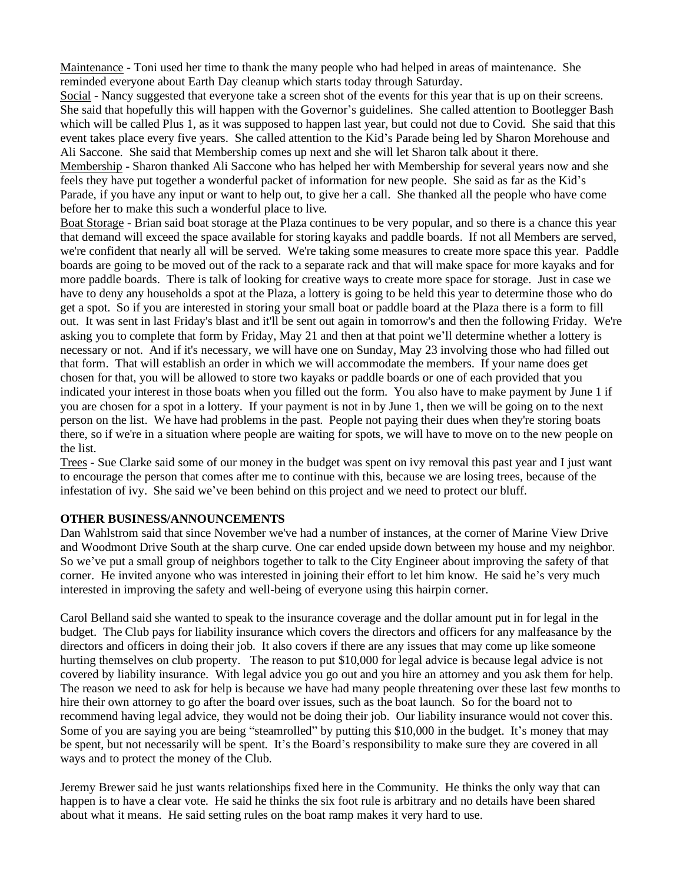Maintenance - Toni used her time to thank the many people who had helped in areas of maintenance. She reminded everyone about Earth Day cleanup which starts today through Saturday.

Social - Nancy suggested that everyone take a screen shot of the events for this year that is up on their screens. She said that hopefully this will happen with the Governor's guidelines. She called attention to Bootlegger Bash which will be called Plus 1, as it was supposed to happen last year, but could not due to Covid. She said that this event takes place every five years. She called attention to the Kid's Parade being led by Sharon Morehouse and Ali Saccone. She said that Membership comes up next and she will let Sharon talk about it there.

Membership - Sharon thanked Ali Saccone who has helped her with Membership for several years now and she feels they have put together a wonderful packet of information for new people. She said as far as the Kid's Parade, if you have any input or want to help out, to give her a call. She thanked all the people who have come before her to make this such a wonderful place to live.

Boat Storage - Brian said boat storage at the Plaza continues to be very popular, and so there is a chance this year that demand will exceed the space available for storing kayaks and paddle boards. If not all Members are served, we're confident that nearly all will be served. We're taking some measures to create more space this year. Paddle boards are going to be moved out of the rack to a separate rack and that will make space for more kayaks and for more paddle boards. There is talk of looking for creative ways to create more space for storage. Just in case we have to deny any households a spot at the Plaza, a lottery is going to be held this year to determine those who do get a spot. So if you are interested in storing your small boat or paddle board at the Plaza there is a form to fill out. It was sent in last Friday's blast and it'll be sent out again in tomorrow's and then the following Friday. We're asking you to complete that form by Friday, May 21 and then at that point we'll determine whether a lottery is necessary or not. And if it's necessary, we will have one on Sunday, May 23 involving those who had filled out that form. That will establish an order in which we will accommodate the members. If your name does get chosen for that, you will be allowed to store two kayaks or paddle boards or one of each provided that you indicated your interest in those boats when you filled out the form. You also have to make payment by June 1 if you are chosen for a spot in a lottery. If your payment is not in by June 1, then we will be going on to the next person on the list. We have had problems in the past. People not paying their dues when they're storing boats there, so if we're in a situation where people are waiting for spots, we will have to move on to the new people on the list.

Trees - Sue Clarke said some of our money in the budget was spent on ivy removal this past year and I just want to encourage the person that comes after me to continue with this, because we are losing trees, because of the infestation of ivy. She said we've been behind on this project and we need to protect our bluff.

# **OTHER BUSINESS/ANNOUNCEMENTS**

Dan Wahlstrom said that since November we've had a number of instances, at the corner of Marine View Drive and Woodmont Drive South at the sharp curve. One car ended upside down between my house and my neighbor. So we've put a small group of neighbors together to talk to the City Engineer about improving the safety of that corner. He invited anyone who was interested in joining their effort to let him know. He said he's very much interested in improving the safety and well-being of everyone using this hairpin corner.

Carol Belland said she wanted to speak to the insurance coverage and the dollar amount put in for legal in the budget. The Club pays for liability insurance which covers the directors and officers for any malfeasance by the directors and officers in doing their job. It also covers if there are any issues that may come up like someone hurting themselves on club property. The reason to put \$10,000 for legal advice is because legal advice is not covered by liability insurance. With legal advice you go out and you hire an attorney and you ask them for help. The reason we need to ask for help is because we have had many people threatening over these last few months to hire their own attorney to go after the board over issues, such as the boat launch. So for the board not to recommend having legal advice, they would not be doing their job. Our liability insurance would not cover this. Some of you are saying you are being "steamrolled" by putting this \$10,000 in the budget. It's money that may be spent, but not necessarily will be spent. It's the Board's responsibility to make sure they are covered in all ways and to protect the money of the Club.

Jeremy Brewer said he just wants relationships fixed here in the Community. He thinks the only way that can happen is to have a clear vote. He said he thinks the six foot rule is arbitrary and no details have been shared about what it means. He said setting rules on the boat ramp makes it very hard to use.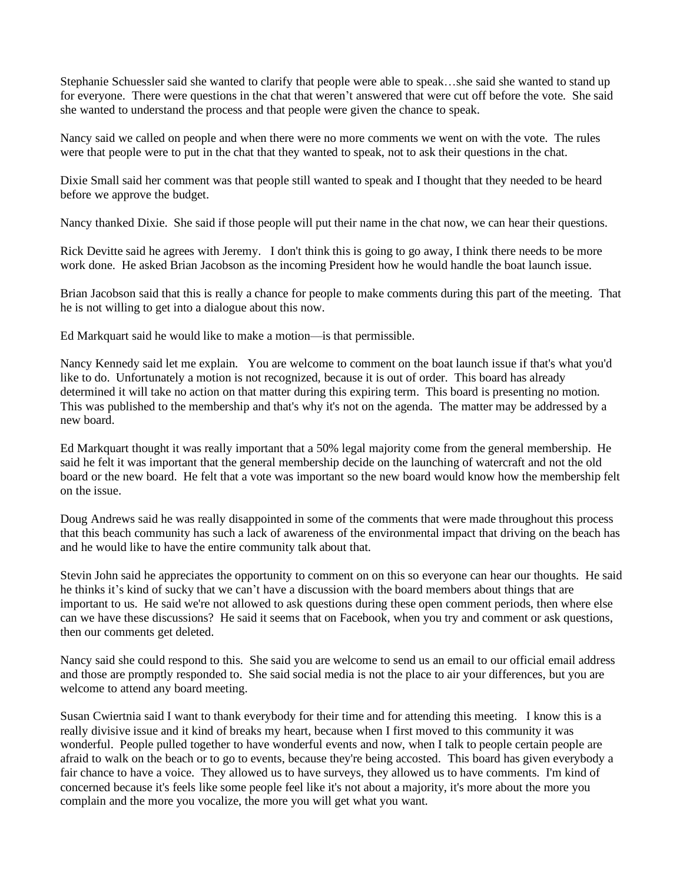Stephanie Schuessler said she wanted to clarify that people were able to speak…she said she wanted to stand up for everyone. There were questions in the chat that weren't answered that were cut off before the vote. She said she wanted to understand the process and that people were given the chance to speak.

Nancy said we called on people and when there were no more comments we went on with the vote. The rules were that people were to put in the chat that they wanted to speak, not to ask their questions in the chat.

Dixie Small said her comment was that people still wanted to speak and I thought that they needed to be heard before we approve the budget.

Nancy thanked Dixie. She said if those people will put their name in the chat now, we can hear their questions.

Rick Devitte said he agrees with Jeremy. I don't think this is going to go away, I think there needs to be more work done. He asked Brian Jacobson as the incoming President how he would handle the boat launch issue.

Brian Jacobson said that this is really a chance for people to make comments during this part of the meeting. That he is not willing to get into a dialogue about this now.

Ed Markquart said he would like to make a motion—is that permissible.

Nancy Kennedy said let me explain. You are welcome to comment on the boat launch issue if that's what you'd like to do. Unfortunately a motion is not recognized, because it is out of order. This board has already determined it will take no action on that matter during this expiring term. This board is presenting no motion. This was published to the membership and that's why it's not on the agenda. The matter may be addressed by a new board.

Ed Markquart thought it was really important that a 50% legal majority come from the general membership. He said he felt it was important that the general membership decide on the launching of watercraft and not the old board or the new board. He felt that a vote was important so the new board would know how the membership felt on the issue.

Doug Andrews said he was really disappointed in some of the comments that were made throughout this process that this beach community has such a lack of awareness of the environmental impact that driving on the beach has and he would like to have the entire community talk about that.

Stevin John said he appreciates the opportunity to comment on on this so everyone can hear our thoughts. He said he thinks it's kind of sucky that we can't have a discussion with the board members about things that are important to us. He said we're not allowed to ask questions during these open comment periods, then where else can we have these discussions? He said it seems that on Facebook, when you try and comment or ask questions, then our comments get deleted.

Nancy said she could respond to this. She said you are welcome to send us an email to our official email address and those are promptly responded to. She said social media is not the place to air your differences, but you are welcome to attend any board meeting.

Susan Cwiertnia said I want to thank everybody for their time and for attending this meeting. I know this is a really divisive issue and it kind of breaks my heart, because when I first moved to this community it was wonderful. People pulled together to have wonderful events and now, when I talk to people certain people are afraid to walk on the beach or to go to events, because they're being accosted. This board has given everybody a fair chance to have a voice. They allowed us to have surveys, they allowed us to have comments. I'm kind of concerned because it's feels like some people feel like it's not about a majority, it's more about the more you complain and the more you vocalize, the more you will get what you want.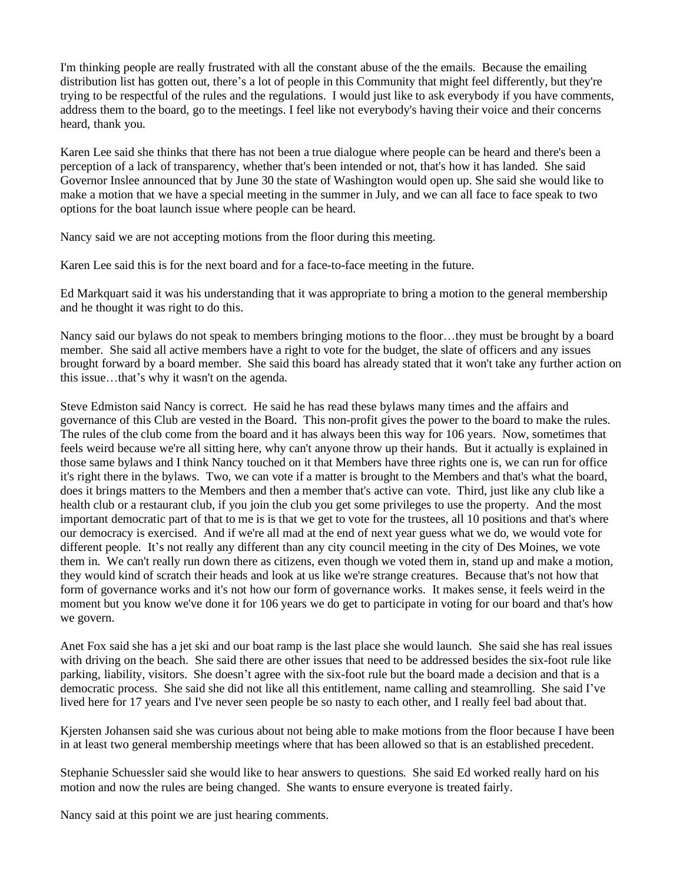I'm thinking people are really frustrated with all the constant abuse of the the emails. Because the emailing distribution list has gotten out, there's a lot of people in this Community that might feel differently, but they're trying to be respectful of the rules and the regulations. I would just like to ask everybody if you have comments, address them to the board, go to the meetings. I feel like not everybody's having their voice and their concerns heard, thank you.

Karen Lee said she thinks that there has not been a true dialogue where people can be heard and there's been a perception of a lack of transparency, whether that's been intended or not, that's how it has landed. She said Governor Inslee announced that by June 30 the state of Washington would open up. She said she would like to make a motion that we have a special meeting in the summer in July, and we can all face to face speak to two options for the boat launch issue where people can be heard.

Nancy said we are not accepting motions from the floor during this meeting.

Karen Lee said this is for the next board and for a face-to-face meeting in the future.

Ed Markquart said it was his understanding that it was appropriate to bring a motion to the general membership and he thought it was right to do this.

Nancy said our bylaws do not speak to members bringing motions to the floor…they must be brought by a board member. She said all active members have a right to vote for the budget, the slate of officers and any issues brought forward by a board member. She said this board has already stated that it won't take any further action on this issue…that's why it wasn't on the agenda.

Steve Edmiston said Nancy is correct. He said he has read these bylaws many times and the affairs and governance of this Club are vested in the Board. This non-profit gives the power to the board to make the rules. The rules of the club come from the board and it has always been this way for 106 years. Now, sometimes that feels weird because we're all sitting here, why can't anyone throw up their hands. But it actually is explained in those same bylaws and I think Nancy touched on it that Members have three rights one is, we can run for office it's right there in the bylaws. Two, we can vote if a matter is brought to the Members and that's what the board, does it brings matters to the Members and then a member that's active can vote. Third, just like any club like a health club or a restaurant club, if you join the club you get some privileges to use the property. And the most important democratic part of that to me is is that we get to vote for the trustees, all 10 positions and that's where our democracy is exercised. And if we're all mad at the end of next year guess what we do, we would vote for different people. It's not really any different than any city council meeting in the city of Des Moines, we vote them in. We can't really run down there as citizens, even though we voted them in, stand up and make a motion, they would kind of scratch their heads and look at us like we're strange creatures. Because that's not how that form of governance works and it's not how our form of governance works. It makes sense, it feels weird in the moment but you know we've done it for 106 years we do get to participate in voting for our board and that's how we govern.

Anet Fox said she has a jet ski and our boat ramp is the last place she would launch. She said she has real issues with driving on the beach. She said there are other issues that need to be addressed besides the six-foot rule like parking, liability, visitors. She doesn't agree with the six-foot rule but the board made a decision and that is a democratic process. She said she did not like all this entitlement, name calling and steamrolling. She said I've lived here for 17 years and I've never seen people be so nasty to each other, and I really feel bad about that.

Kjersten Johansen said she was curious about not being able to make motions from the floor because I have been in at least two general membership meetings where that has been allowed so that is an established precedent.

Stephanie Schuessler said she would like to hear answers to questions. She said Ed worked really hard on his motion and now the rules are being changed. She wants to ensure everyone is treated fairly.

Nancy said at this point we are just hearing comments.